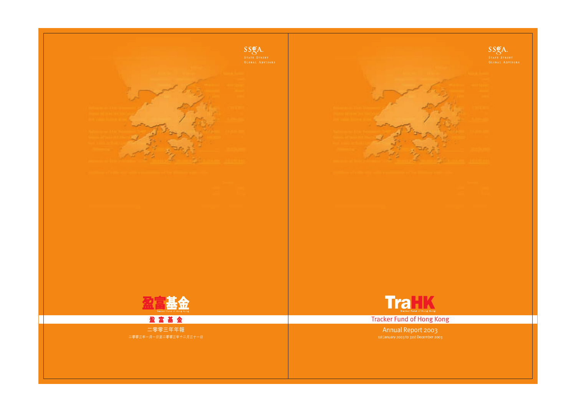



**Tracker Fund of Hong Kong** 

Annual Report 2003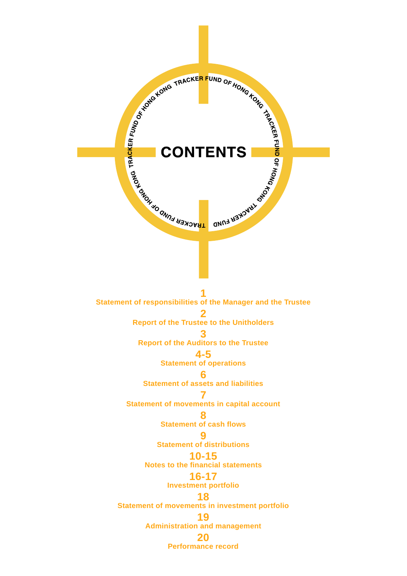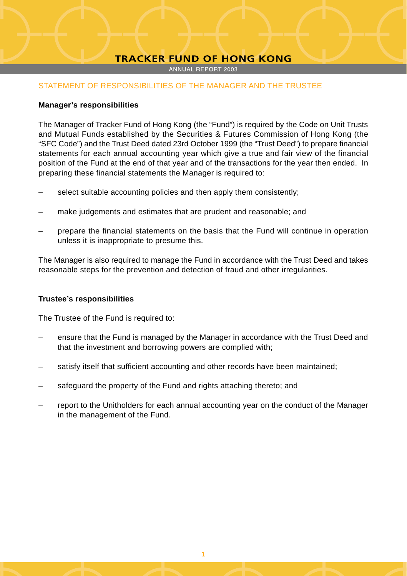ANNUAL REPORT 2003

# STATEMENT OF RESPONSIBILITIES OF THE MANAGER AND THE TRUSTEE

# **Manager's responsibilities**

The Manager of Tracker Fund of Hong Kong (the "Fund") is required by the Code on Unit Trusts and Mutual Funds established by the Securities & Futures Commission of Hong Kong (the "SFC Code") and the Trust Deed dated 23rd October 1999 (the "Trust Deed") to prepare financial statements for each annual accounting year which give a true and fair view of the financial position of the Fund at the end of that year and of the transactions for the year then ended. In preparing these financial statements the Manager is required to:

- select suitable accounting policies and then apply them consistently;
- make judgements and estimates that are prudent and reasonable; and
- prepare the financial statements on the basis that the Fund will continue in operation unless it is inappropriate to presume this.

The Manager is also required to manage the Fund in accordance with the Trust Deed and takes reasonable steps for the prevention and detection of fraud and other irregularities.

# **Trustee's responsibilities**

The Trustee of the Fund is required to:

- ensure that the Fund is managed by the Manager in accordance with the Trust Deed and that the investment and borrowing powers are complied with;
- satisfy itself that sufficient accounting and other records have been maintained;
- safeguard the property of the Fund and rights attaching thereto; and
- report to the Unitholders for each annual accounting year on the conduct of the Manager in the management of the Fund.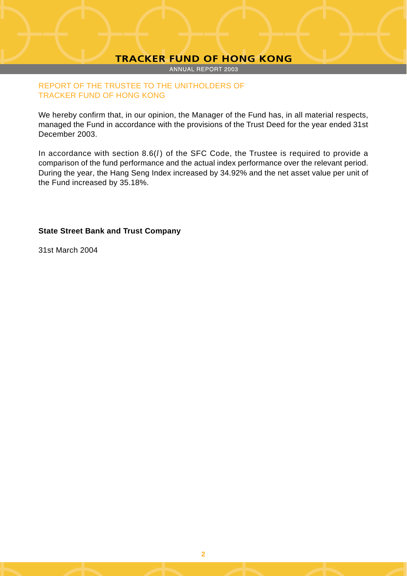ANNUAL REPORT 2003

# REPORT OF THE TRUSTEE TO THE UNITHOLDERS OF TRACKER FUND OF HONG KONG

We hereby confirm that, in our opinion, the Manager of the Fund has, in all material respects, managed the Fund in accordance with the provisions of the Trust Deed for the year ended 31st December 2003.

In accordance with section 8.6(*l*) of the SFC Code, the Trustee is required to provide a comparison of the fund performance and the actual index performance over the relevant period. During the year, the Hang Seng Index increased by 34.92% and the net asset value per unit of the Fund increased by 35.18%.

# **State Street Bank and Trust Company**

31st March 2004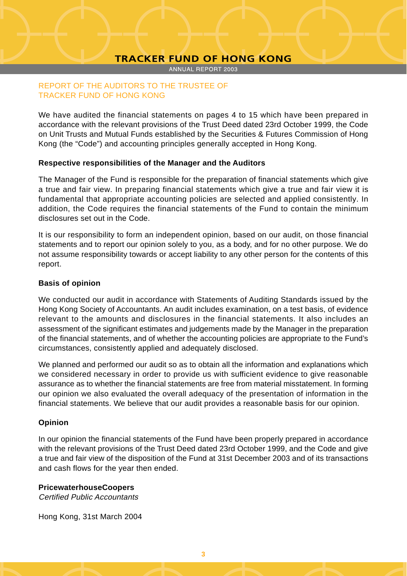ANNUAL REPORT 2003

# REPORT OF THE AUDITORS TO THE TRUSTEE OF TRACKER FUND OF HONG KONG

We have audited the financial statements on pages 4 to 15 which have been prepared in accordance with the relevant provisions of the Trust Deed dated 23rd October 1999, the Code on Unit Trusts and Mutual Funds established by the Securities & Futures Commission of Hong Kong (the "Code") and accounting principles generally accepted in Hong Kong.

# **Respective responsibilities of the Manager and the Auditors**

The Manager of the Fund is responsible for the preparation of financial statements which give a true and fair view. In preparing financial statements which give a true and fair view it is fundamental that appropriate accounting policies are selected and applied consistently. In addition, the Code requires the financial statements of the Fund to contain the minimum disclosures set out in the Code.

It is our responsibility to form an independent opinion, based on our audit, on those financial statements and to report our opinion solely to you, as a body, and for no other purpose. We do not assume responsibility towards or accept liability to any other person for the contents of this report.

# **Basis of opinion**

We conducted our audit in accordance with Statements of Auditing Standards issued by the Hong Kong Society of Accountants. An audit includes examination, on a test basis, of evidence relevant to the amounts and disclosures in the financial statements. It also includes an assessment of the significant estimates and judgements made by the Manager in the preparation of the financial statements, and of whether the accounting policies are appropriate to the Fund's circumstances, consistently applied and adequately disclosed.

We planned and performed our audit so as to obtain all the information and explanations which we considered necessary in order to provide us with sufficient evidence to give reasonable assurance as to whether the financial statements are free from material misstatement. In forming our opinion we also evaluated the overall adequacy of the presentation of information in the financial statements. We believe that our audit provides a reasonable basis for our opinion.

# **Opinion**

In our opinion the financial statements of the Fund have been properly prepared in accordance with the relevant provisions of the Trust Deed dated 23rd October 1999, and the Code and give a true and fair view of the disposition of the Fund at 31st December 2003 and of its transactions and cash flows for the year then ended.

# **PricewaterhouseCoopers**

Certified Public Accountants

Hong Kong, 31st March 2004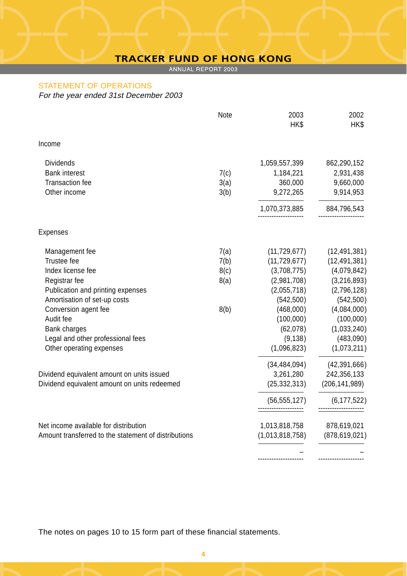ANNUAL REPORT 2003

# STATEMENT OF OPERATIONS

For the year ended 31st December 2003

|                                                      | Note | 2003<br>HK\$    | 2002<br>HK\$    |
|------------------------------------------------------|------|-----------------|-----------------|
| Income                                               |      |                 |                 |
| <b>Dividends</b>                                     |      | 1,059,557,399   | 862,290,152     |
| <b>Bank interest</b>                                 | 7(c) | 1,184,221       | 2,931,438       |
| <b>Transaction fee</b>                               | 3(a) | 360,000         | 9,660,000       |
| Other income                                         | 3(b) | 9,272,265       | 9,914,953       |
|                                                      |      | 1,070,373,885   | 884,796,543     |
| Expenses                                             |      |                 |                 |
| Management fee                                       | 7(a) | (11, 729, 677)  | (12, 491, 381)  |
| Trustee fee                                          | 7(b) | (11, 729, 677)  | (12, 491, 381)  |
| Index license fee                                    | 8(c) | (3,708,775)     | (4,079,842)     |
| Registrar fee                                        | 8(a) | (2,981,708)     | (3,216,893)     |
| Publication and printing expenses                    |      | (2,055,718)     | (2,796,128)     |
| Amortisation of set-up costs                         |      | (542, 500)      | (542, 500)      |
| Conversion agent fee                                 | 8(b) | (468,000)       | (4,084,000)     |
| Audit fee                                            |      | (100,000)       | (100,000)       |
| Bank charges                                         |      | (62,078)        | (1,033,240)     |
| Legal and other professional fees                    |      | (9, 138)        | (483,090)       |
| Other operating expenses                             |      | (1,096,823)     | (1,073,211)     |
|                                                      |      | (34, 484, 094)  | (42, 391, 666)  |
| Dividend equivalent amount on units issued           |      | 3,261,280       | 242,356,133     |
| Dividend equivalent amount on units redeemed         |      | (25, 332, 313)  | (206, 141, 989) |
|                                                      |      | (56, 555, 127)  | (6, 177, 522)   |
| Net income available for distribution                |      | 1,013,818,758   | 878,619,021     |
| Amount transferred to the statement of distributions |      | (1,013,818,758) | (878, 619, 021) |
|                                                      |      |                 |                 |
|                                                      |      |                 |                 |

The notes on pages 10 to 15 form part of these financial statements.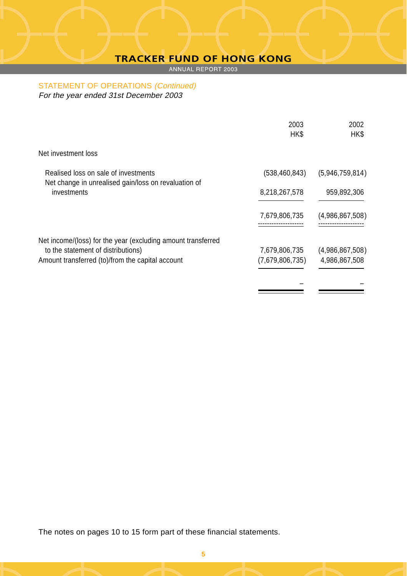ANNUAL REPORT 2003

STATEMENT OF OPERATIONS (Continued) For the year ended 31st December 2003

|                                                                     | 2003<br>HK\$    | 2002<br>HK\$    |
|---------------------------------------------------------------------|-----------------|-----------------|
| Net investment loss                                                 |                 |                 |
| Realised loss on sale of investments                                | (538, 460, 843) | (5,946,759,814) |
| Net change in unrealised gain/loss on revaluation of<br>investments | 8,218,267,578   | 959,892,306     |
|                                                                     | 7,679,806,735   | (4,986,867,508) |
| Net income/(loss) for the year (excluding amount transferred        |                 |                 |
| to the statement of distributions)                                  | 7,679,806,735   | (4,986,867,508) |
| Amount transferred (to)/from the capital account                    | (7,679,806,735) | 4,986,867,508   |
|                                                                     |                 |                 |

The notes on pages 10 to 15 form part of these financial statements.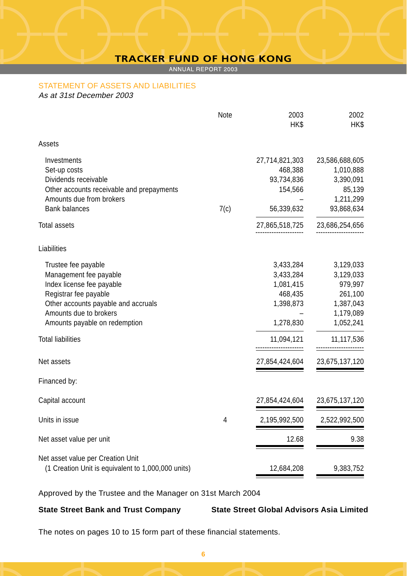ANNUAL REPORT 2003

# STATEMENT OF ASSETS AND LIABILITIES

As at 31st December 2003

|                                                                                         | Note | 2003<br>HK\$                     | 2002<br>HK\$   |
|-----------------------------------------------------------------------------------------|------|----------------------------------|----------------|
|                                                                                         |      |                                  |                |
| Assets                                                                                  |      |                                  |                |
| Investments                                                                             |      | 27,714,821,303                   | 23,586,688,605 |
| Set-up costs                                                                            |      | 468,388                          | 1,010,888      |
| Dividends receivable                                                                    |      | 93,734,836                       | 3,390,091      |
| Other accounts receivable and prepayments                                               |      | 154,566                          | 85,139         |
| Amounts due from brokers<br><b>Bank balances</b>                                        |      |                                  | 1,211,299      |
|                                                                                         | 7(c) | 56,339,632                       | 93,868,634     |
| <b>Total assets</b>                                                                     |      | 27,865,518,725                   | 23,686,254,656 |
| Liabilities                                                                             |      |                                  |                |
| Trustee fee payable                                                                     |      | 3,433,284                        | 3,129,033      |
| Management fee payable                                                                  |      | 3,433,284                        | 3,129,033      |
| Index license fee payable                                                               |      | 1,081,415                        | 979,997        |
| Registrar fee payable                                                                   |      | 468,435                          | 261,100        |
| Other accounts payable and accruals                                                     |      | 1,398,873                        | 1,387,043      |
| Amounts due to brokers                                                                  |      |                                  | 1,179,089      |
| Amounts payable on redemption                                                           |      | 1,278,830                        | 1,052,241      |
| <b>Total liabilities</b>                                                                |      | 11,094,121<br>------------------ | 11,117,536     |
|                                                                                         |      |                                  |                |
| Net assets                                                                              |      | 27,854,424,604                   | 23,675,137,120 |
| Financed by:                                                                            |      |                                  |                |
| Capital account                                                                         |      | 27,854,424,604                   | 23,675,137,120 |
| Units in issue                                                                          | 4    | 2,195,992,500                    | 2,522,992,500  |
| Net asset value per unit                                                                |      | 12.68                            | 9.38           |
|                                                                                         |      |                                  |                |
| Net asset value per Creation Unit<br>(1 Creation Unit is equivalent to 1,000,000 units) |      | 12,684,208                       | 9,383,752      |
|                                                                                         |      |                                  |                |

Approved by the Trustee and the Manager on 31st March 2004

**State Street Bank and Trust Company State Street Global Advisors Asia Limited**

The notes on pages 10 to 15 form part of these financial statements.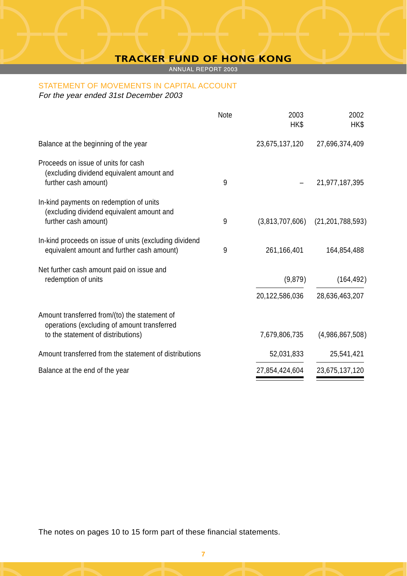ANNUAL REPORT 2003

# STATEMENT OF MOVEMENTS IN CAPITAL ACCOUNT

For the year ended 31st December 2003

|                                                                                                                                    | Note | 2003<br>HK\$    | 2002<br>HK\$        |
|------------------------------------------------------------------------------------------------------------------------------------|------|-----------------|---------------------|
| Balance at the beginning of the year                                                                                               |      | 23,675,137,120  | 27,696,374,409      |
| Proceeds on issue of units for cash<br>(excluding dividend equivalent amount and<br>further cash amount)                           | 9    |                 | 21,977,187,395      |
| In-kind payments on redemption of units<br>(excluding dividend equivalent amount and<br>further cash amount)                       | 9    | (3,813,707,606) | (21, 201, 788, 593) |
| In-kind proceeds on issue of units (excluding dividend<br>equivalent amount and further cash amount)                               | 9    | 261,166,401     | 164,854,488         |
| Net further cash amount paid on issue and<br>redemption of units                                                                   |      | (9,879)         | (164, 492)          |
|                                                                                                                                    |      | 20,122,586,036  | 28,636,463,207      |
| Amount transferred from/(to) the statement of<br>operations (excluding of amount transferred<br>to the statement of distributions) |      | 7,679,806,735   | (4.986.867.508)     |
| Amount transferred from the statement of distributions                                                                             |      | 52,031,833      | 25,541,421          |
| Balance at the end of the year                                                                                                     |      | 27,854,424,604  | 23,675,137,120      |

The notes on pages 10 to 15 form part of these financial statements.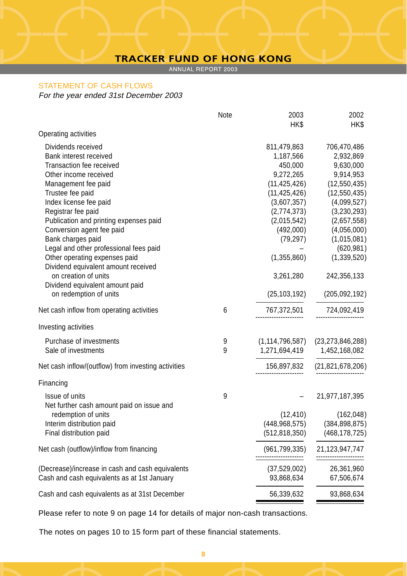ANNUAL REPORT 2003

# STATEMENT OF CASH FLOWS

For the year ended 31st December 2003

|                                                                      | Note | 2003               | 2002                |
|----------------------------------------------------------------------|------|--------------------|---------------------|
| Operating activities                                                 |      | HK\$               | HK\$                |
| Dividends received                                                   |      | 811,479,863        | 706,470,486         |
| Bank interest received                                               |      | 1,187,566          | 2,932,869           |
| Transaction fee received                                             |      | 450,000            | 9,630,000           |
| Other income received                                                |      | 9,272,265          | 9,914,953           |
| Management fee paid                                                  |      | (11, 425, 426)     | (12,550,435)        |
| Trustee fee paid                                                     |      | (11, 425, 426)     | (12, 550, 435)      |
| Index license fee paid                                               |      | (3,607,357)        | (4,099,527)         |
| Registrar fee paid                                                   |      | (2,774,373)        | (3,230,293)         |
| Publication and printing expenses paid                               |      | (2,015,542)        | (2,657,558)         |
| Conversion agent fee paid                                            |      | (492,000)          | (4,056,000)         |
| Bank charges paid                                                    |      | (79, 297)          | (1,015,081)         |
| Legal and other professional fees paid                               |      |                    | (620, 981)          |
| Other operating expenses paid<br>Dividend equivalent amount received |      | (1,355,860)        | (1, 339, 520)       |
| on creation of units                                                 |      | 3,261,280          | 242,356,133         |
| Dividend equivalent amount paid<br>on redemption of units            |      | (25, 103, 192)     | (205, 092, 192)     |
| Net cash inflow from operating activities                            | 6    | 767,372,501        | 724,092,419         |
|                                                                      |      |                    |                     |
| Investing activities                                                 |      |                    |                     |
| Purchase of investments                                              | 9    | (1, 114, 796, 587) | (23, 273, 846, 288) |
| Sale of investments                                                  | 9    | 1,271,694,419      | 1,452,168,082       |
| Net cash inflow/(outflow) from investing activities                  |      | 156,897,832        | (21, 821, 678, 206) |
| Financing                                                            |      |                    |                     |
| Issue of units                                                       | 9    |                    | 21,977,187,395      |
| Net further cash amount paid on issue and                            |      |                    |                     |
| redemption of units                                                  |      | (12, 410)          | (162,048)           |
| Interim distribution paid                                            |      | (448, 968, 575)    | (384, 898, 875)     |
| Final distribution paid                                              |      | (512, 818, 350)    | (468, 178, 725)     |
| Net cash (outflow)/inflow from financing                             |      | (961, 799, 335)    | 21,123,947,747<br>  |
| (Decrease)/increase in cash and cash equivalents                     |      | (37,529,002)       | 26,361,960          |
| Cash and cash equivalents as at 1st January                          |      | 93,868,634         | 67,506,674          |
| Cash and cash equivalents as at 31st December                        |      | 56,339,632         | 93,868,634          |
|                                                                      |      |                    |                     |

Please refer to note 9 on page 14 for details of major non-cash transactions.

The notes on pages 10 to 15 form part of these financial statements.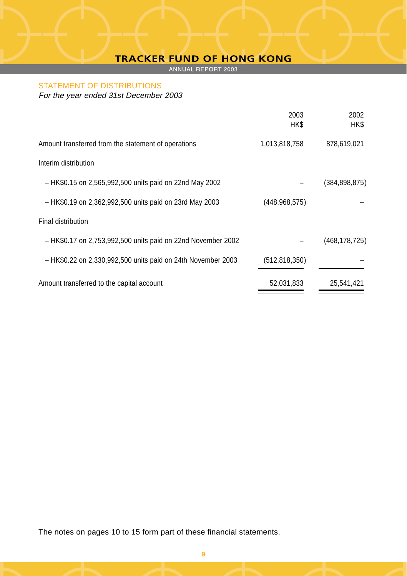ANNUAL REPORT 2003

# STATEMENT OF DISTRIBUTIONS

For the year ended 31st December 2003

|                                                              | 2003<br>HK\$    | 2002<br>HK\$    |
|--------------------------------------------------------------|-----------------|-----------------|
| Amount transferred from the statement of operations          | 1,013,818,758   | 878,619,021     |
| Interim distribution                                         |                 |                 |
| - HK\$0.15 on 2,565,992,500 units paid on 22nd May 2002      |                 | (384, 898, 875) |
| - HK\$0.19 on 2,362,992,500 units paid on 23rd May 2003      | (448, 968, 575) |                 |
| Final distribution                                           |                 |                 |
| - HK\$0.17 on 2,753,992,500 units paid on 22nd November 2002 |                 | (468, 178, 725) |
| - HK\$0.22 on 2,330,992,500 units paid on 24th November 2003 | (512, 818, 350) |                 |
| Amount transferred to the capital account                    | 52,031,833      | 25,541,421      |

The notes on pages 10 to 15 form part of these financial statements.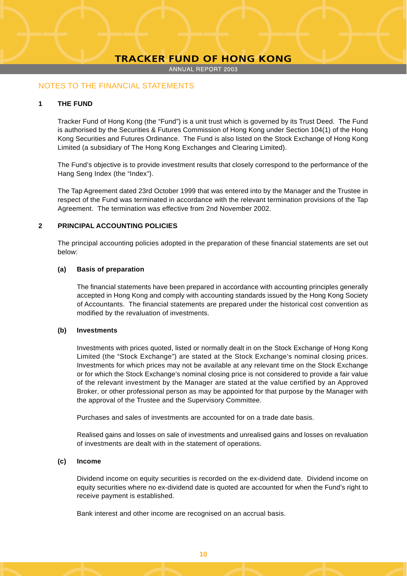ANNUAL REPORT 2003

# NOTES TO THE FINANCIAL STATEMENTS

### **1 THE FUND**

Tracker Fund of Hong Kong (the "Fund") is a unit trust which is governed by its Trust Deed. The Fund is authorised by the Securities & Futures Commission of Hong Kong under Section 104(1) of the Hong Kong Securities and Futures Ordinance. The Fund is also listed on the Stock Exchange of Hong Kong Limited (a subsidiary of The Hong Kong Exchanges and Clearing Limited).

The Fund's objective is to provide investment results that closely correspond to the performance of the Hang Seng Index (the "Index").

The Tap Agreement dated 23rd October 1999 that was entered into by the Manager and the Trustee in respect of the Fund was terminated in accordance with the relevant termination provisions of the Tap Agreement. The termination was effective from 2nd November 2002.

#### **2 PRINCIPAL ACCOUNTING POLICIES**

The principal accounting policies adopted in the preparation of these financial statements are set out below:

#### **(a) Basis of preparation**

The financial statements have been prepared in accordance with accounting principles generally accepted in Hong Kong and comply with accounting standards issued by the Hong Kong Society of Accountants. The financial statements are prepared under the historical cost convention as modified by the revaluation of investments.

#### **(b) Investments**

Investments with prices quoted, listed or normally dealt in on the Stock Exchange of Hong Kong Limited (the "Stock Exchange") are stated at the Stock Exchange's nominal closing prices. Investments for which prices may not be available at any relevant time on the Stock Exchange or for which the Stock Exchange's nominal closing price is not considered to provide a fair value of the relevant investment by the Manager are stated at the value certified by an Approved Broker, or other professional person as may be appointed for that purpose by the Manager with the approval of the Trustee and the Supervisory Committee.

Purchases and sales of investments are accounted for on a trade date basis.

Realised gains and losses on sale of investments and unrealised gains and losses on revaluation of investments are dealt with in the statement of operations.

#### **(c) Income**

Dividend income on equity securities is recorded on the ex-dividend date. Dividend income on equity securities where no ex-dividend date is quoted are accounted for when the Fund's right to receive payment is established.

Bank interest and other income are recognised on an accrual basis.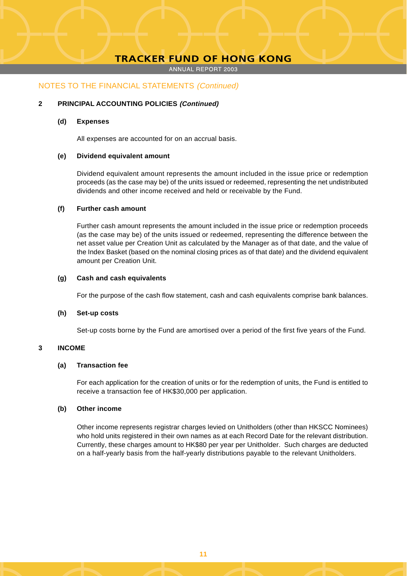ANNUAL REPORT 2003

# NOTES TO THE FINANCIAL STATEMENTS (Continued)

#### **2 PRINCIPAL ACCOUNTING POLICIES (Continued)**

#### **(d) Expenses**

All expenses are accounted for on an accrual basis.

#### **(e) Dividend equivalent amount**

Dividend equivalent amount represents the amount included in the issue price or redemption proceeds (as the case may be) of the units issued or redeemed, representing the net undistributed dividends and other income received and held or receivable by the Fund.

#### **(f) Further cash amount**

Further cash amount represents the amount included in the issue price or redemption proceeds (as the case may be) of the units issued or redeemed, representing the difference between the net asset value per Creation Unit as calculated by the Manager as of that date, and the value of the Index Basket (based on the nominal closing prices as of that date) and the dividend equivalent amount per Creation Unit.

#### **(g) Cash and cash equivalents**

For the purpose of the cash flow statement, cash and cash equivalents comprise bank balances.

#### **(h) Set-up costs**

Set-up costs borne by the Fund are amortised over a period of the first five years of the Fund.

#### **3 INCOME**

#### **(a) Transaction fee**

For each application for the creation of units or for the redemption of units, the Fund is entitled to receive a transaction fee of HK\$30,000 per application.

#### **(b) Other income**

Other income represents registrar charges levied on Unitholders (other than HKSCC Nominees) who hold units registered in their own names as at each Record Date for the relevant distribution. Currently, these charges amount to HK\$80 per year per Unitholder. Such charges are deducted on a half-yearly basis from the half-yearly distributions payable to the relevant Unitholders.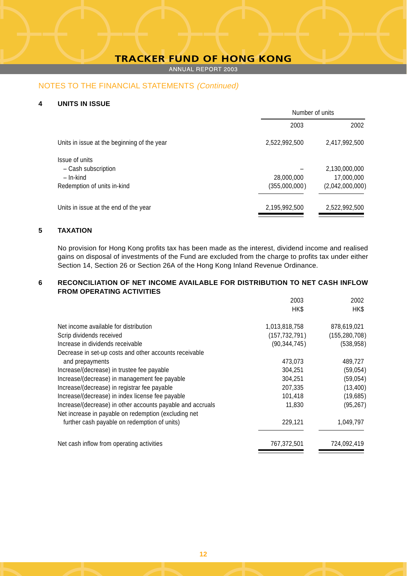ANNUAL REPORT 2003

# NOTES TO THE FINANCIAL STATEMENTS (Continued)

#### **4 UNITS IN ISSUE**

| Number of units |                 |  |
|-----------------|-----------------|--|
| 2003            | 2002            |  |
| 2,522,992,500   | 2,417,992,500   |  |
|                 |                 |  |
|                 | 2,130,000,000   |  |
| 28,000,000      | 17,000,000      |  |
| (355,000,000)   | (2,042,000,000) |  |
| 2,195,992,500   | 2,522,992,500   |  |
|                 |                 |  |

# **5 TAXATION**

No provision for Hong Kong profits tax has been made as the interest, dividend income and realised gains on disposal of investments of the Fund are excluded from the charge to profits tax under either Section 14, Section 26 or Section 26A of the Hong Kong Inland Revenue Ordinance.

## **6 RECONCILIATION OF NET INCOME AVAILABLE FOR DISTRIBUTION TO NET CASH INFLOW FROM OPERATING ACTIVITIES**

|                                                            | 2003            | 2002            |
|------------------------------------------------------------|-----------------|-----------------|
|                                                            | HK\$            | HK\$            |
| Net income available for distribution                      | 1,013,818,758   | 878,619,021     |
| Scrip dividends received                                   | (157, 732, 791) | (155, 280, 708) |
| Increase in dividends receivable                           | (90, 344, 745)  | (538, 958)      |
| Decrease in set-up costs and other accounts receivable     |                 |                 |
| and prepayments                                            | 473.073         | 489,727         |
| Increase/(decrease) in trustee fee payable                 | 304.251         | (59,054)        |
| Increase/(decrease) in management fee payable              | 304.251         | (59,054)        |
| Increase/(decrease) in registrar fee payable               | 207,335         | (13,400)        |
| Increase/(decrease) in index license fee payable           | 101,418         | (19,685)        |
| Increase/(decrease) in other accounts payable and accruals | 11,830          | (95, 267)       |
| Net increase in payable on redemption (excluding net       |                 |                 |
| further cash payable on redemption of units)               | 229,121         | 1,049,797       |
| Net cash inflow from operating activities                  | 767,372,501     | 724,092,419     |
|                                                            |                 |                 |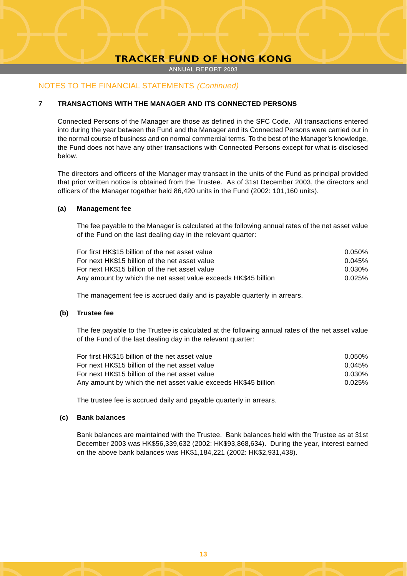ANNUAL REPORT 2003

# NOTES TO THE FINANCIAL STATEMENTS (Continued)

# **7 TRANSACTIONS WITH THE MANAGER AND ITS CONNECTED PERSONS**

Connected Persons of the Manager are those as defined in the SFC Code. All transactions entered into during the year between the Fund and the Manager and its Connected Persons were carried out in the normal course of business and on normal commercial terms. To the best of the Manager's knowledge, the Fund does not have any other transactions with Connected Persons except for what is disclosed below.

The directors and officers of the Manager may transact in the units of the Fund as principal provided that prior written notice is obtained from the Trustee. As of 31st December 2003, the directors and officers of the Manager together held 86,420 units in the Fund (2002: 101,160 units).

#### **(a) Management fee**

The fee payable to the Manager is calculated at the following annual rates of the net asset value of the Fund on the last dealing day in the relevant quarter:

| For first HK\$15 billion of the net asset value                | 0.050% |
|----------------------------------------------------------------|--------|
| For next HK\$15 billion of the net asset value                 | 0.045% |
| For next HK\$15 billion of the net asset value                 | 0.030% |
| Any amount by which the net asset value exceeds HK\$45 billion | 0.025% |

The management fee is accrued daily and is payable quarterly in arrears.

#### **(b) Trustee fee**

The fee payable to the Trustee is calculated at the following annual rates of the net asset value of the Fund of the last dealing day in the relevant quarter:

| For first HK\$15 billion of the net asset value                | $0.050\%$ |
|----------------------------------------------------------------|-----------|
| For next HK\$15 billion of the net asset value                 | 0.045%    |
| For next HK\$15 billion of the net asset value                 | 0.030%    |
| Any amount by which the net asset value exceeds HK\$45 billion | 0.025%    |

The trustee fee is accrued daily and payable quarterly in arrears.

# **(c) Bank balances**

Bank balances are maintained with the Trustee. Bank balances held with the Trustee as at 31st December 2003 was HK\$56,339,632 (2002: HK\$93,868,634). During the year, interest earned on the above bank balances was HK\$1,184,221 (2002: HK\$2,931,438).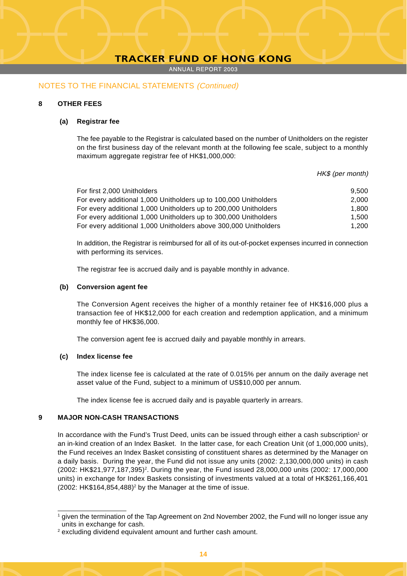ANNUAL REPORT 2003

### NOTES TO THE FINANCIAL STATEMENTS (Continued)

## **8 OTHER FEES**

#### **(a) Registrar fee**

The fee payable to the Registrar is calculated based on the number of Unitholders on the register on the first business day of the relevant month at the following fee scale, subject to a monthly maximum aggregate registrar fee of HK\$1,000,000:

HK\$ (per month)

| For first 2,000 Unitholders                                      | 9.500 |
|------------------------------------------------------------------|-------|
| For every additional 1,000 Unitholders up to 100,000 Unitholders | 2.000 |
| For every additional 1,000 Unitholders up to 200,000 Unitholders | 1.800 |
| For every additional 1,000 Unitholders up to 300,000 Unitholders | 1.500 |
| For every additional 1,000 Unitholders above 300,000 Unitholders | 1.200 |

In addition, the Registrar is reimbursed for all of its out-of-pocket expenses incurred in connection with performing its services.

The registrar fee is accrued daily and is payable monthly in advance.

#### **(b) Conversion agent fee**

The Conversion Agent receives the higher of a monthly retainer fee of HK\$16,000 plus a transaction fee of HK\$12,000 for each creation and redemption application, and a minimum monthly fee of HK\$36,000.

The conversion agent fee is accrued daily and payable monthly in arrears.

#### **(c) Index license fee**

The index license fee is calculated at the rate of 0.015% per annum on the daily average net asset value of the Fund, subject to a minimum of US\$10,000 per annum.

The index license fee is accrued daily and is payable quarterly in arrears.

#### **9 MAJOR NON-CASH TRANSACTIONS**

In accordance with the Fund's Trust Deed, units can be issued through either a cash subscription<sup>1</sup> or an in-kind creation of an Index Basket. In the latter case, for each Creation Unit (of 1,000,000 units), the Fund receives an Index Basket consisting of constituent shares as determined by the Manager on a daily basis. During the year, the Fund did not issue any units (2002: 2,130,000,000 units) in cash (2002: HK\$21,977,187,395)2 . During the year, the Fund issued 28,000,000 units (2002: 17,000,000 units) in exchange for Index Baskets consisting of investments valued at a total of HK\$261,166,401  $(2002: HK$164,854,488)<sup>2</sup>$  by the Manager at the time of issue.

<sup>1</sup> given the termination of the Tap Agreement on 2nd November 2002, the Fund will no longer issue any units in exchange for cash.

<sup>2</sup> excluding dividend equivalent amount and further cash amount.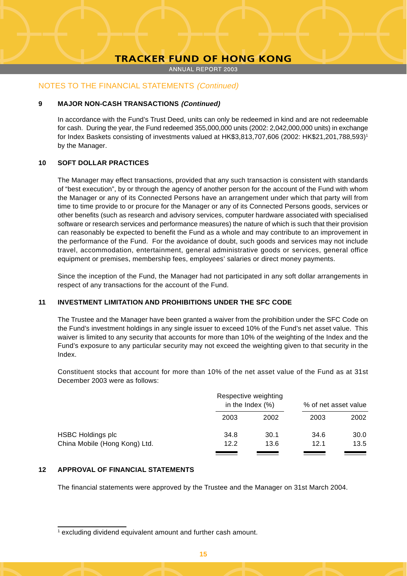ANNUAL REPORT 2003

# NOTES TO THE FINANCIAL STATEMENTS (Continued)

#### **9 MAJOR NON-CASH TRANSACTIONS (Continued)**

In accordance with the Fund's Trust Deed, units can only be redeemed in kind and are not redeemable for cash. During the year, the Fund redeemed 355,000,000 units (2002: 2,042,000,000 units) in exchange for Index Baskets consisting of investments valued at HK\$3,813,707,606 (2002: HK\$21,201,788,593)<sup>1</sup> by the Manager.

#### **10 SOFT DOLLAR PRACTICES**

The Manager may effect transactions, provided that any such transaction is consistent with standards of "best execution", by or through the agency of another person for the account of the Fund with whom the Manager or any of its Connected Persons have an arrangement under which that party will from time to time provide to or procure for the Manager or any of its Connected Persons goods, services or other benefits (such as research and advisory services, computer hardware associated with specialised software or research services and performance measures) the nature of which is such that their provision can reasonably be expected to benefit the Fund as a whole and may contribute to an improvement in the performance of the Fund. For the avoidance of doubt, such goods and services may not include travel, accommodation, entertainment, general administrative goods or services, general office equipment or premises, membership fees, employees' salaries or direct money payments.

Since the inception of the Fund, the Manager had not participated in any soft dollar arrangements in respect of any transactions for the account of the Fund.

#### **11 INVESTMENT LIMITATION AND PROHIBITIONS UNDER THE SFC CODE**

The Trustee and the Manager have been granted a waiver from the prohibition under the SFC Code on the Fund's investment holdings in any single issuer to exceed 10% of the Fund's net asset value. This waiver is limited to any security that accounts for more than 10% of the weighting of the Index and the Fund's exposure to any particular security may not exceed the weighting given to that security in the Index.

Constituent stocks that account for more than 10% of the net asset value of the Fund as at 31st December 2003 were as follows:

|                               | Respective weighting<br>in the Index $(\%)$ |      | % of net asset value |      |
|-------------------------------|---------------------------------------------|------|----------------------|------|
|                               | 2003                                        | 2002 | 2003                 | 2002 |
| <b>HSBC Holdings plc</b>      | 34.8                                        | 30.1 | 34.6                 | 30.0 |
| China Mobile (Hong Kong) Ltd. | 12.2                                        | 13.6 | 12.1                 | 13.5 |

# **12 APPROVAL OF FINANCIAL STATEMENTS**

The financial statements were approved by the Trustee and the Manager on 31st March 2004.

<sup>1</sup> excluding dividend equivalent amount and further cash amount.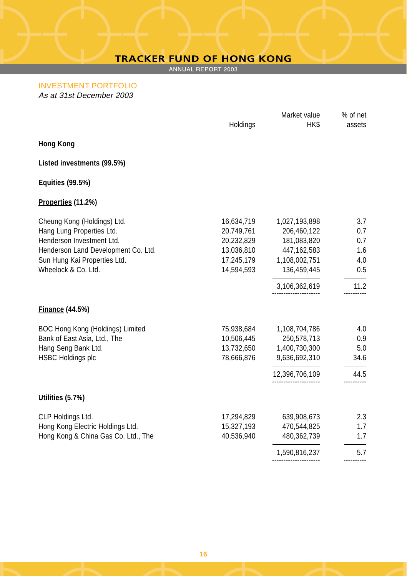ANNUAL REPORT 2003

INVESTMENT PORTFOLIO As at 31st December 2003

|                                     |            | Market value   | % of net       |
|-------------------------------------|------------|----------------|----------------|
|                                     | Holdings   | HK\$           | assets         |
| <b>Hong Kong</b>                    |            |                |                |
| Listed investments (99.5%)          |            |                |                |
| <b>Equities (99.5%)</b>             |            |                |                |
| Properties (11.2%)                  |            |                |                |
| Cheung Kong (Holdings) Ltd.         | 16,634,719 | 1,027,193,898  | 3.7            |
| Hang Lung Properties Ltd.           | 20,749,761 | 206,460,122    | 0.7            |
| Henderson Investment Ltd.           | 20,232,829 | 181,083,820    | 0.7            |
| Henderson Land Development Co. Ltd. | 13,036,810 | 447,162,583    | 1.6            |
| Sun Hung Kai Properties Ltd.        | 17,245,179 | 1,108,002,751  | 4.0            |
| Wheelock & Co. Ltd.                 | 14,594,593 | 136,459,445    | 0.5            |
|                                     |            | 3,106,362,619  | 11.2           |
| <b>Finance (44.5%)</b>              |            |                |                |
| BOC Hong Kong (Holdings) Limited    | 75,938,684 | 1,108,704,786  | 4.0            |
| Bank of East Asia, Ltd., The        | 10,506,445 | 250,578,713    | 0.9            |
| Hang Seng Bank Ltd.                 | 13,732,650 | 1,400,730,300  | 5.0            |
| <b>HSBC Holdings plc</b>            | 78,666,876 | 9,636,692,310  | 34.6           |
|                                     |            | 12,396,706,109 | 44.5           |
| Utilities (5.7%)                    |            |                |                |
| CLP Holdings Ltd.                   | 17,294,829 | 639,908,673    | 2.3            |
| Hong Kong Electric Holdings Ltd.    | 15,327,193 | 470,544,825    | 1.7            |
| Hong Kong & China Gas Co. Ltd., The | 40,536,940 | 480,362,739    | 1.7            |
|                                     |            | 1,590,816,237  | 5.7<br>------- |
|                                     |            |                |                |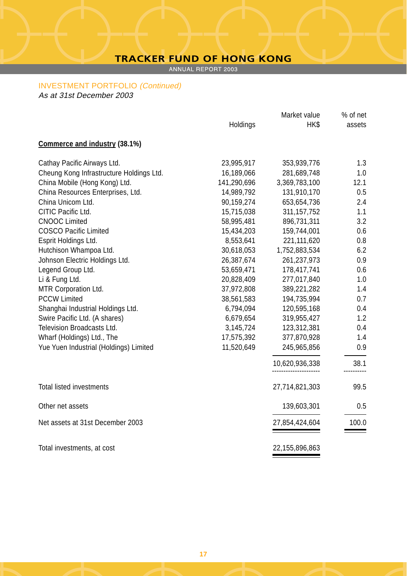ANNUAL REPORT 2003

#### INVESTMENT PORTFOLIO (Continued)

As at 31st December 2003

|                                          |             | Market value   | % of net |
|------------------------------------------|-------------|----------------|----------|
|                                          | Holdings    | HK\$           | assets   |
| Commerce and industry (38.1%)            |             |                |          |
| Cathay Pacific Airways Ltd.              | 23,995,917  | 353,939,776    | 1.3      |
| Cheung Kong Infrastructure Holdings Ltd. | 16,189,066  | 281,689,748    | 1.0      |
| China Mobile (Hong Kong) Ltd.            | 141,290,696 | 3,369,783,100  | 12.1     |
| China Resources Enterprises, Ltd.        | 14,989,792  | 131,910,170    | 0.5      |
| China Unicom Ltd.                        | 90,159,274  | 653,654,736    | 2.4      |
| CITIC Pacific Ltd.                       | 15,715,038  | 311, 157, 752  | 1.1      |
| <b>CNOOC Limited</b>                     | 58,995,481  | 896,731,311    | 3.2      |
| <b>COSCO Pacific Limited</b>             | 15,434,203  | 159,744,001    | 0.6      |
| Esprit Holdings Ltd.                     | 8,553,641   | 221,111,620    | 0.8      |
| Hutchison Whampoa Ltd.                   | 30,618,053  | 1,752,883,534  | 6.2      |
| Johnson Electric Holdings Ltd.           | 26,387,674  | 261,237,973    | 0.9      |
| Legend Group Ltd.                        | 53,659,471  | 178,417,741    | 0.6      |
| Li & Fung Ltd.                           | 20,828,409  | 277,017,840    | 1.0      |
| MTR Corporation Ltd.                     | 37,972,808  | 389,221,282    | 1.4      |
| <b>PCCW Limited</b>                      | 38,561,583  | 194,735,994    | 0.7      |
| Shanghai Industrial Holdings Ltd.        | 6,794,094   | 120,595,168    | 0.4      |
| Swire Pacific Ltd. (A shares)            | 6,679,654   | 319,955,427    | 1.2      |
| Television Broadcasts Ltd.               | 3,145,724   | 123,312,381    | 0.4      |
| Wharf (Holdings) Ltd., The               | 17,575,392  | 377,870,928    | 1.4      |
| Yue Yuen Industrial (Holdings) Limited   | 11,520,649  | 245,965,856    | 0.9      |
|                                          |             | 10,620,936,338 | 38.1     |
| <b>Total listed investments</b>          |             | 27,714,821,303 | 99.5     |
| Other net assets                         |             | 139,603,301    | 0.5      |
| Net assets at 31st December 2003         |             | 27,854,424,604 | 100.0    |
| Total investments, at cost               |             | 22,155,896,863 |          |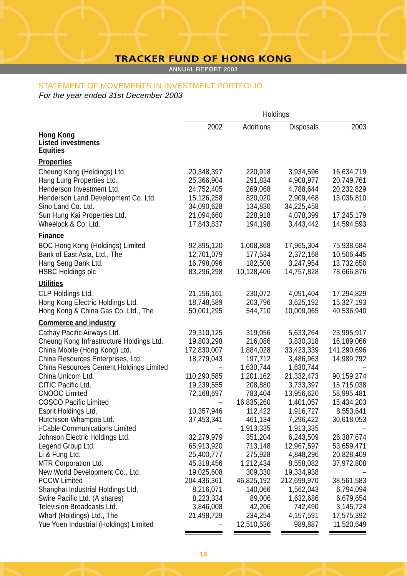# STATEMENT OF MOVEMENTS IN INVESTMENT PORTFOLIO

For the year ended 31st December 2003

| Additions<br>2002<br>2003<br>Disposals<br>Hong Kong<br><b>Listed investments</b><br>Equities<br><b>Properties</b><br>Cheung Kong (Holdings) Ltd.<br>20,348,397<br>220,918<br>3,934,596<br>16,634,719<br>Hang Lung Properties Ltd.<br>291,834<br>25,366,904<br>4,908,977<br>20,749,761<br>Henderson Investment Ltd.<br>24,752,405<br>269,068<br>4,788,644<br>20,232,829<br>Henderson Land Development Co. Ltd.<br>15,126,258<br>820,020<br>2,909,468<br>13,036,810<br>Sino Land Co. Ltd.<br>34,090,628<br>134,830<br>34,225,458<br>Sun Hung Kai Properties Ltd.<br>228,918<br>21,094,660<br>4,078,399<br>17,245,179<br>Wheelock & Co. Ltd.<br>194,198<br>3,443,442<br>17,843,837<br>14,594,593<br>Finance<br>BOC Hong Kong (Holdings) Limited<br>1,008,868<br>92,895,120<br>17,965,304<br>75,938,684<br>Bank of East Asia, Ltd., The<br>12,701,079<br>177,534<br>2,372,168<br>10,506,445<br>Hang Seng Bank Ltd.<br>16,798,096<br>182,508<br>3,247,954<br>13,732,650<br><b>HSBC Holdings plc</b><br>83,296,298<br>10,128,406<br>78,666,876<br>14,757,828<br><b>Utilities</b><br>CLP Holdings Ltd.<br>21,156,161<br>230,072<br>4,091,404<br>17,294,829<br>Hong Kong Electric Holdings Ltd.<br>18,748,589<br>203,796<br>3,625,192<br>15,327,193<br>Hong Kong & China Gas Co. Ltd., The<br>544,710<br>40,536,940<br>50,001,295<br>10,009,065<br><b>Commerce and industry</b><br>Cathay Pacific Airways Ltd.<br>29,310,125<br>319,056<br>5,633,264<br>23,995,917<br>Cheung Kong Infrastructure Holdings Ltd.<br>19,803,298<br>216,086<br>3,830,318<br>16,189,066<br>China Mobile (Hong Kong) Ltd.<br>172,830,007<br>141,290,696<br>1,884,028<br>33,423,339<br>China Resources Enterprises, Ltd.<br>18,279,043<br>197,712<br>14,989,792<br>3,486,963<br>China Resources Cement Holdings Limited<br>1,630,744<br>1,630,744<br>China Unicom Ltd.<br>110,290,585<br>1,201,162<br>21,332,473<br>90,159,274<br>CITIC Pacific Ltd.<br>19,239,555<br>208,880<br>3,733,397<br>15,715,038<br><b>CNOOC Limited</b><br>72,168,697<br>783,404<br>13,956,620<br>58,995,481<br><b>COSCO Pacific Limited</b><br>16,835,260<br>1,401,057<br>15,434,203<br>Esprit Holdings Ltd.<br>112,422<br>10,357,946<br>1,916,727<br>8,553,641<br>Hutchison Whampoa Ltd.<br>37,453,341<br>461,134<br>7,296,422<br>30,618,053<br>i-Cable Communications Limited<br>1,913,335<br>1,913,335<br>32,279,979<br>Johnson Electric Holdings Ltd.<br>351,204<br>6,243,509<br>26,387,674<br>713,148<br>Legend Group Ltd.<br>65,913,920<br>12,967,597<br>53,659,471<br>Li & Fung Ltd.<br>25,400,777<br>275,928<br>4,848,296<br>20,828,409<br>MTR Corporation Ltd.<br>45,318,456<br>1,212,434<br>8,558,082<br>37,972,808<br>New World Development Co., Ltd.<br>309,330<br>19,334,938<br>19,025,608<br><b>PCCW Limited</b><br>204,436,361<br>46,825,192<br>212,699,970<br>38,561,583<br>Shanghai Industrial Holdings Ltd.<br>8,216,071<br>140,066<br>1,562,043<br>6,794,094<br>Swire Pacific Ltd. (A shares)<br>8,223,334<br>89,006<br>1,632,686<br>6,679,654<br>Television Broadcasts Ltd.<br>3,846,008<br>42,206<br>742,490<br>3,145,724<br>Wharf (Holdings) Ltd., The<br>21,498,729<br>234,254<br>4,157,591<br>17,575,392<br>Yue Yuen Industrial (Holdings) Limited<br>11,520,649<br>12,510,536<br>989,887 | Holdings |  |  |  |
|--------------------------------------------------------------------------------------------------------------------------------------------------------------------------------------------------------------------------------------------------------------------------------------------------------------------------------------------------------------------------------------------------------------------------------------------------------------------------------------------------------------------------------------------------------------------------------------------------------------------------------------------------------------------------------------------------------------------------------------------------------------------------------------------------------------------------------------------------------------------------------------------------------------------------------------------------------------------------------------------------------------------------------------------------------------------------------------------------------------------------------------------------------------------------------------------------------------------------------------------------------------------------------------------------------------------------------------------------------------------------------------------------------------------------------------------------------------------------------------------------------------------------------------------------------------------------------------------------------------------------------------------------------------------------------------------------------------------------------------------------------------------------------------------------------------------------------------------------------------------------------------------------------------------------------------------------------------------------------------------------------------------------------------------------------------------------------------------------------------------------------------------------------------------------------------------------------------------------------------------------------------------------------------------------------------------------------------------------------------------------------------------------------------------------------------------------------------------------------------------------------------------------------------------------------------------------------------------------------------------------------------------------------------------------------------------------------------------------------------------------------------------------------------------------------------------------------------------------------------------------------------------------------------------------------------------------------------------------------------------------------------------------------------------------------------------------------------------------------------------------------------------------------------------------------------------------------------------------------------------------------------|----------|--|--|--|
|                                                                                                                                                                                                                                                                                                                                                                                                                                                                                                                                                                                                                                                                                                                                                                                                                                                                                                                                                                                                                                                                                                                                                                                                                                                                                                                                                                                                                                                                                                                                                                                                                                                                                                                                                                                                                                                                                                                                                                                                                                                                                                                                                                                                                                                                                                                                                                                                                                                                                                                                                                                                                                                                                                                                                                                                                                                                                                                                                                                                                                                                                                                                                                                                                                                              |          |  |  |  |
|                                                                                                                                                                                                                                                                                                                                                                                                                                                                                                                                                                                                                                                                                                                                                                                                                                                                                                                                                                                                                                                                                                                                                                                                                                                                                                                                                                                                                                                                                                                                                                                                                                                                                                                                                                                                                                                                                                                                                                                                                                                                                                                                                                                                                                                                                                                                                                                                                                                                                                                                                                                                                                                                                                                                                                                                                                                                                                                                                                                                                                                                                                                                                                                                                                                              |          |  |  |  |
|                                                                                                                                                                                                                                                                                                                                                                                                                                                                                                                                                                                                                                                                                                                                                                                                                                                                                                                                                                                                                                                                                                                                                                                                                                                                                                                                                                                                                                                                                                                                                                                                                                                                                                                                                                                                                                                                                                                                                                                                                                                                                                                                                                                                                                                                                                                                                                                                                                                                                                                                                                                                                                                                                                                                                                                                                                                                                                                                                                                                                                                                                                                                                                                                                                                              |          |  |  |  |
|                                                                                                                                                                                                                                                                                                                                                                                                                                                                                                                                                                                                                                                                                                                                                                                                                                                                                                                                                                                                                                                                                                                                                                                                                                                                                                                                                                                                                                                                                                                                                                                                                                                                                                                                                                                                                                                                                                                                                                                                                                                                                                                                                                                                                                                                                                                                                                                                                                                                                                                                                                                                                                                                                                                                                                                                                                                                                                                                                                                                                                                                                                                                                                                                                                                              |          |  |  |  |
|                                                                                                                                                                                                                                                                                                                                                                                                                                                                                                                                                                                                                                                                                                                                                                                                                                                                                                                                                                                                                                                                                                                                                                                                                                                                                                                                                                                                                                                                                                                                                                                                                                                                                                                                                                                                                                                                                                                                                                                                                                                                                                                                                                                                                                                                                                                                                                                                                                                                                                                                                                                                                                                                                                                                                                                                                                                                                                                                                                                                                                                                                                                                                                                                                                                              |          |  |  |  |
|                                                                                                                                                                                                                                                                                                                                                                                                                                                                                                                                                                                                                                                                                                                                                                                                                                                                                                                                                                                                                                                                                                                                                                                                                                                                                                                                                                                                                                                                                                                                                                                                                                                                                                                                                                                                                                                                                                                                                                                                                                                                                                                                                                                                                                                                                                                                                                                                                                                                                                                                                                                                                                                                                                                                                                                                                                                                                                                                                                                                                                                                                                                                                                                                                                                              |          |  |  |  |
|                                                                                                                                                                                                                                                                                                                                                                                                                                                                                                                                                                                                                                                                                                                                                                                                                                                                                                                                                                                                                                                                                                                                                                                                                                                                                                                                                                                                                                                                                                                                                                                                                                                                                                                                                                                                                                                                                                                                                                                                                                                                                                                                                                                                                                                                                                                                                                                                                                                                                                                                                                                                                                                                                                                                                                                                                                                                                                                                                                                                                                                                                                                                                                                                                                                              |          |  |  |  |
|                                                                                                                                                                                                                                                                                                                                                                                                                                                                                                                                                                                                                                                                                                                                                                                                                                                                                                                                                                                                                                                                                                                                                                                                                                                                                                                                                                                                                                                                                                                                                                                                                                                                                                                                                                                                                                                                                                                                                                                                                                                                                                                                                                                                                                                                                                                                                                                                                                                                                                                                                                                                                                                                                                                                                                                                                                                                                                                                                                                                                                                                                                                                                                                                                                                              |          |  |  |  |
|                                                                                                                                                                                                                                                                                                                                                                                                                                                                                                                                                                                                                                                                                                                                                                                                                                                                                                                                                                                                                                                                                                                                                                                                                                                                                                                                                                                                                                                                                                                                                                                                                                                                                                                                                                                                                                                                                                                                                                                                                                                                                                                                                                                                                                                                                                                                                                                                                                                                                                                                                                                                                                                                                                                                                                                                                                                                                                                                                                                                                                                                                                                                                                                                                                                              |          |  |  |  |
|                                                                                                                                                                                                                                                                                                                                                                                                                                                                                                                                                                                                                                                                                                                                                                                                                                                                                                                                                                                                                                                                                                                                                                                                                                                                                                                                                                                                                                                                                                                                                                                                                                                                                                                                                                                                                                                                                                                                                                                                                                                                                                                                                                                                                                                                                                                                                                                                                                                                                                                                                                                                                                                                                                                                                                                                                                                                                                                                                                                                                                                                                                                                                                                                                                                              |          |  |  |  |
|                                                                                                                                                                                                                                                                                                                                                                                                                                                                                                                                                                                                                                                                                                                                                                                                                                                                                                                                                                                                                                                                                                                                                                                                                                                                                                                                                                                                                                                                                                                                                                                                                                                                                                                                                                                                                                                                                                                                                                                                                                                                                                                                                                                                                                                                                                                                                                                                                                                                                                                                                                                                                                                                                                                                                                                                                                                                                                                                                                                                                                                                                                                                                                                                                                                              |          |  |  |  |
|                                                                                                                                                                                                                                                                                                                                                                                                                                                                                                                                                                                                                                                                                                                                                                                                                                                                                                                                                                                                                                                                                                                                                                                                                                                                                                                                                                                                                                                                                                                                                                                                                                                                                                                                                                                                                                                                                                                                                                                                                                                                                                                                                                                                                                                                                                                                                                                                                                                                                                                                                                                                                                                                                                                                                                                                                                                                                                                                                                                                                                                                                                                                                                                                                                                              |          |  |  |  |
|                                                                                                                                                                                                                                                                                                                                                                                                                                                                                                                                                                                                                                                                                                                                                                                                                                                                                                                                                                                                                                                                                                                                                                                                                                                                                                                                                                                                                                                                                                                                                                                                                                                                                                                                                                                                                                                                                                                                                                                                                                                                                                                                                                                                                                                                                                                                                                                                                                                                                                                                                                                                                                                                                                                                                                                                                                                                                                                                                                                                                                                                                                                                                                                                                                                              |          |  |  |  |
|                                                                                                                                                                                                                                                                                                                                                                                                                                                                                                                                                                                                                                                                                                                                                                                                                                                                                                                                                                                                                                                                                                                                                                                                                                                                                                                                                                                                                                                                                                                                                                                                                                                                                                                                                                                                                                                                                                                                                                                                                                                                                                                                                                                                                                                                                                                                                                                                                                                                                                                                                                                                                                                                                                                                                                                                                                                                                                                                                                                                                                                                                                                                                                                                                                                              |          |  |  |  |
|                                                                                                                                                                                                                                                                                                                                                                                                                                                                                                                                                                                                                                                                                                                                                                                                                                                                                                                                                                                                                                                                                                                                                                                                                                                                                                                                                                                                                                                                                                                                                                                                                                                                                                                                                                                                                                                                                                                                                                                                                                                                                                                                                                                                                                                                                                                                                                                                                                                                                                                                                                                                                                                                                                                                                                                                                                                                                                                                                                                                                                                                                                                                                                                                                                                              |          |  |  |  |
|                                                                                                                                                                                                                                                                                                                                                                                                                                                                                                                                                                                                                                                                                                                                                                                                                                                                                                                                                                                                                                                                                                                                                                                                                                                                                                                                                                                                                                                                                                                                                                                                                                                                                                                                                                                                                                                                                                                                                                                                                                                                                                                                                                                                                                                                                                                                                                                                                                                                                                                                                                                                                                                                                                                                                                                                                                                                                                                                                                                                                                                                                                                                                                                                                                                              |          |  |  |  |
|                                                                                                                                                                                                                                                                                                                                                                                                                                                                                                                                                                                                                                                                                                                                                                                                                                                                                                                                                                                                                                                                                                                                                                                                                                                                                                                                                                                                                                                                                                                                                                                                                                                                                                                                                                                                                                                                                                                                                                                                                                                                                                                                                                                                                                                                                                                                                                                                                                                                                                                                                                                                                                                                                                                                                                                                                                                                                                                                                                                                                                                                                                                                                                                                                                                              |          |  |  |  |
|                                                                                                                                                                                                                                                                                                                                                                                                                                                                                                                                                                                                                                                                                                                                                                                                                                                                                                                                                                                                                                                                                                                                                                                                                                                                                                                                                                                                                                                                                                                                                                                                                                                                                                                                                                                                                                                                                                                                                                                                                                                                                                                                                                                                                                                                                                                                                                                                                                                                                                                                                                                                                                                                                                                                                                                                                                                                                                                                                                                                                                                                                                                                                                                                                                                              |          |  |  |  |
|                                                                                                                                                                                                                                                                                                                                                                                                                                                                                                                                                                                                                                                                                                                                                                                                                                                                                                                                                                                                                                                                                                                                                                                                                                                                                                                                                                                                                                                                                                                                                                                                                                                                                                                                                                                                                                                                                                                                                                                                                                                                                                                                                                                                                                                                                                                                                                                                                                                                                                                                                                                                                                                                                                                                                                                                                                                                                                                                                                                                                                                                                                                                                                                                                                                              |          |  |  |  |
|                                                                                                                                                                                                                                                                                                                                                                                                                                                                                                                                                                                                                                                                                                                                                                                                                                                                                                                                                                                                                                                                                                                                                                                                                                                                                                                                                                                                                                                                                                                                                                                                                                                                                                                                                                                                                                                                                                                                                                                                                                                                                                                                                                                                                                                                                                                                                                                                                                                                                                                                                                                                                                                                                                                                                                                                                                                                                                                                                                                                                                                                                                                                                                                                                                                              |          |  |  |  |
|                                                                                                                                                                                                                                                                                                                                                                                                                                                                                                                                                                                                                                                                                                                                                                                                                                                                                                                                                                                                                                                                                                                                                                                                                                                                                                                                                                                                                                                                                                                                                                                                                                                                                                                                                                                                                                                                                                                                                                                                                                                                                                                                                                                                                                                                                                                                                                                                                                                                                                                                                                                                                                                                                                                                                                                                                                                                                                                                                                                                                                                                                                                                                                                                                                                              |          |  |  |  |
|                                                                                                                                                                                                                                                                                                                                                                                                                                                                                                                                                                                                                                                                                                                                                                                                                                                                                                                                                                                                                                                                                                                                                                                                                                                                                                                                                                                                                                                                                                                                                                                                                                                                                                                                                                                                                                                                                                                                                                                                                                                                                                                                                                                                                                                                                                                                                                                                                                                                                                                                                                                                                                                                                                                                                                                                                                                                                                                                                                                                                                                                                                                                                                                                                                                              |          |  |  |  |
|                                                                                                                                                                                                                                                                                                                                                                                                                                                                                                                                                                                                                                                                                                                                                                                                                                                                                                                                                                                                                                                                                                                                                                                                                                                                                                                                                                                                                                                                                                                                                                                                                                                                                                                                                                                                                                                                                                                                                                                                                                                                                                                                                                                                                                                                                                                                                                                                                                                                                                                                                                                                                                                                                                                                                                                                                                                                                                                                                                                                                                                                                                                                                                                                                                                              |          |  |  |  |
|                                                                                                                                                                                                                                                                                                                                                                                                                                                                                                                                                                                                                                                                                                                                                                                                                                                                                                                                                                                                                                                                                                                                                                                                                                                                                                                                                                                                                                                                                                                                                                                                                                                                                                                                                                                                                                                                                                                                                                                                                                                                                                                                                                                                                                                                                                                                                                                                                                                                                                                                                                                                                                                                                                                                                                                                                                                                                                                                                                                                                                                                                                                                                                                                                                                              |          |  |  |  |
|                                                                                                                                                                                                                                                                                                                                                                                                                                                                                                                                                                                                                                                                                                                                                                                                                                                                                                                                                                                                                                                                                                                                                                                                                                                                                                                                                                                                                                                                                                                                                                                                                                                                                                                                                                                                                                                                                                                                                                                                                                                                                                                                                                                                                                                                                                                                                                                                                                                                                                                                                                                                                                                                                                                                                                                                                                                                                                                                                                                                                                                                                                                                                                                                                                                              |          |  |  |  |
|                                                                                                                                                                                                                                                                                                                                                                                                                                                                                                                                                                                                                                                                                                                                                                                                                                                                                                                                                                                                                                                                                                                                                                                                                                                                                                                                                                                                                                                                                                                                                                                                                                                                                                                                                                                                                                                                                                                                                                                                                                                                                                                                                                                                                                                                                                                                                                                                                                                                                                                                                                                                                                                                                                                                                                                                                                                                                                                                                                                                                                                                                                                                                                                                                                                              |          |  |  |  |
|                                                                                                                                                                                                                                                                                                                                                                                                                                                                                                                                                                                                                                                                                                                                                                                                                                                                                                                                                                                                                                                                                                                                                                                                                                                                                                                                                                                                                                                                                                                                                                                                                                                                                                                                                                                                                                                                                                                                                                                                                                                                                                                                                                                                                                                                                                                                                                                                                                                                                                                                                                                                                                                                                                                                                                                                                                                                                                                                                                                                                                                                                                                                                                                                                                                              |          |  |  |  |
|                                                                                                                                                                                                                                                                                                                                                                                                                                                                                                                                                                                                                                                                                                                                                                                                                                                                                                                                                                                                                                                                                                                                                                                                                                                                                                                                                                                                                                                                                                                                                                                                                                                                                                                                                                                                                                                                                                                                                                                                                                                                                                                                                                                                                                                                                                                                                                                                                                                                                                                                                                                                                                                                                                                                                                                                                                                                                                                                                                                                                                                                                                                                                                                                                                                              |          |  |  |  |
|                                                                                                                                                                                                                                                                                                                                                                                                                                                                                                                                                                                                                                                                                                                                                                                                                                                                                                                                                                                                                                                                                                                                                                                                                                                                                                                                                                                                                                                                                                                                                                                                                                                                                                                                                                                                                                                                                                                                                                                                                                                                                                                                                                                                                                                                                                                                                                                                                                                                                                                                                                                                                                                                                                                                                                                                                                                                                                                                                                                                                                                                                                                                                                                                                                                              |          |  |  |  |
|                                                                                                                                                                                                                                                                                                                                                                                                                                                                                                                                                                                                                                                                                                                                                                                                                                                                                                                                                                                                                                                                                                                                                                                                                                                                                                                                                                                                                                                                                                                                                                                                                                                                                                                                                                                                                                                                                                                                                                                                                                                                                                                                                                                                                                                                                                                                                                                                                                                                                                                                                                                                                                                                                                                                                                                                                                                                                                                                                                                                                                                                                                                                                                                                                                                              |          |  |  |  |
|                                                                                                                                                                                                                                                                                                                                                                                                                                                                                                                                                                                                                                                                                                                                                                                                                                                                                                                                                                                                                                                                                                                                                                                                                                                                                                                                                                                                                                                                                                                                                                                                                                                                                                                                                                                                                                                                                                                                                                                                                                                                                                                                                                                                                                                                                                                                                                                                                                                                                                                                                                                                                                                                                                                                                                                                                                                                                                                                                                                                                                                                                                                                                                                                                                                              |          |  |  |  |
|                                                                                                                                                                                                                                                                                                                                                                                                                                                                                                                                                                                                                                                                                                                                                                                                                                                                                                                                                                                                                                                                                                                                                                                                                                                                                                                                                                                                                                                                                                                                                                                                                                                                                                                                                                                                                                                                                                                                                                                                                                                                                                                                                                                                                                                                                                                                                                                                                                                                                                                                                                                                                                                                                                                                                                                                                                                                                                                                                                                                                                                                                                                                                                                                                                                              |          |  |  |  |
|                                                                                                                                                                                                                                                                                                                                                                                                                                                                                                                                                                                                                                                                                                                                                                                                                                                                                                                                                                                                                                                                                                                                                                                                                                                                                                                                                                                                                                                                                                                                                                                                                                                                                                                                                                                                                                                                                                                                                                                                                                                                                                                                                                                                                                                                                                                                                                                                                                                                                                                                                                                                                                                                                                                                                                                                                                                                                                                                                                                                                                                                                                                                                                                                                                                              |          |  |  |  |
|                                                                                                                                                                                                                                                                                                                                                                                                                                                                                                                                                                                                                                                                                                                                                                                                                                                                                                                                                                                                                                                                                                                                                                                                                                                                                                                                                                                                                                                                                                                                                                                                                                                                                                                                                                                                                                                                                                                                                                                                                                                                                                                                                                                                                                                                                                                                                                                                                                                                                                                                                                                                                                                                                                                                                                                                                                                                                                                                                                                                                                                                                                                                                                                                                                                              |          |  |  |  |
|                                                                                                                                                                                                                                                                                                                                                                                                                                                                                                                                                                                                                                                                                                                                                                                                                                                                                                                                                                                                                                                                                                                                                                                                                                                                                                                                                                                                                                                                                                                                                                                                                                                                                                                                                                                                                                                                                                                                                                                                                                                                                                                                                                                                                                                                                                                                                                                                                                                                                                                                                                                                                                                                                                                                                                                                                                                                                                                                                                                                                                                                                                                                                                                                                                                              |          |  |  |  |
|                                                                                                                                                                                                                                                                                                                                                                                                                                                                                                                                                                                                                                                                                                                                                                                                                                                                                                                                                                                                                                                                                                                                                                                                                                                                                                                                                                                                                                                                                                                                                                                                                                                                                                                                                                                                                                                                                                                                                                                                                                                                                                                                                                                                                                                                                                                                                                                                                                                                                                                                                                                                                                                                                                                                                                                                                                                                                                                                                                                                                                                                                                                                                                                                                                                              |          |  |  |  |
|                                                                                                                                                                                                                                                                                                                                                                                                                                                                                                                                                                                                                                                                                                                                                                                                                                                                                                                                                                                                                                                                                                                                                                                                                                                                                                                                                                                                                                                                                                                                                                                                                                                                                                                                                                                                                                                                                                                                                                                                                                                                                                                                                                                                                                                                                                                                                                                                                                                                                                                                                                                                                                                                                                                                                                                                                                                                                                                                                                                                                                                                                                                                                                                                                                                              |          |  |  |  |
|                                                                                                                                                                                                                                                                                                                                                                                                                                                                                                                                                                                                                                                                                                                                                                                                                                                                                                                                                                                                                                                                                                                                                                                                                                                                                                                                                                                                                                                                                                                                                                                                                                                                                                                                                                                                                                                                                                                                                                                                                                                                                                                                                                                                                                                                                                                                                                                                                                                                                                                                                                                                                                                                                                                                                                                                                                                                                                                                                                                                                                                                                                                                                                                                                                                              |          |  |  |  |
|                                                                                                                                                                                                                                                                                                                                                                                                                                                                                                                                                                                                                                                                                                                                                                                                                                                                                                                                                                                                                                                                                                                                                                                                                                                                                                                                                                                                                                                                                                                                                                                                                                                                                                                                                                                                                                                                                                                                                                                                                                                                                                                                                                                                                                                                                                                                                                                                                                                                                                                                                                                                                                                                                                                                                                                                                                                                                                                                                                                                                                                                                                                                                                                                                                                              |          |  |  |  |
|                                                                                                                                                                                                                                                                                                                                                                                                                                                                                                                                                                                                                                                                                                                                                                                                                                                                                                                                                                                                                                                                                                                                                                                                                                                                                                                                                                                                                                                                                                                                                                                                                                                                                                                                                                                                                                                                                                                                                                                                                                                                                                                                                                                                                                                                                                                                                                                                                                                                                                                                                                                                                                                                                                                                                                                                                                                                                                                                                                                                                                                                                                                                                                                                                                                              |          |  |  |  |
|                                                                                                                                                                                                                                                                                                                                                                                                                                                                                                                                                                                                                                                                                                                                                                                                                                                                                                                                                                                                                                                                                                                                                                                                                                                                                                                                                                                                                                                                                                                                                                                                                                                                                                                                                                                                                                                                                                                                                                                                                                                                                                                                                                                                                                                                                                                                                                                                                                                                                                                                                                                                                                                                                                                                                                                                                                                                                                                                                                                                                                                                                                                                                                                                                                                              |          |  |  |  |
|                                                                                                                                                                                                                                                                                                                                                                                                                                                                                                                                                                                                                                                                                                                                                                                                                                                                                                                                                                                                                                                                                                                                                                                                                                                                                                                                                                                                                                                                                                                                                                                                                                                                                                                                                                                                                                                                                                                                                                                                                                                                                                                                                                                                                                                                                                                                                                                                                                                                                                                                                                                                                                                                                                                                                                                                                                                                                                                                                                                                                                                                                                                                                                                                                                                              |          |  |  |  |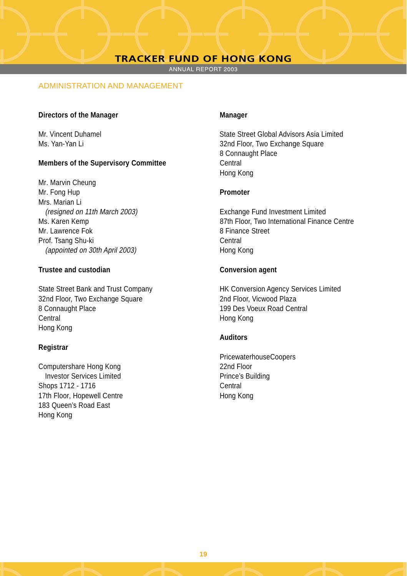ANNUAL REPORT 2003

# ADMINISTRATION AND MANAGEMENT

#### **Directors of the Manager** Manager

# **Members of the Supervisory Committee Central Central**

Mr. Marvin Cheung Mr. Fong Hup **Promoter** Mrs. Marian Li (resigned on 11th March 2003) Exchange Fund Investment Limited Mr. Lawrence Fok 8 Finance Street Prof. Tsang Shu-ki Central (appointed on 30th April 2003) Hong Kong

# **Trustee and custodian Conversion agent**

32nd Floor, Two Exchange Square 2nd Floor, Vicwood Plaza 8 Connaught Place 199 Des Voeux Road Central Central Hong Kong Hong Kong

# **Registrar**

Computershare Hong Kong 22nd Floor **Investor Services Limited Contract Contract Prince's Building** Shops 1712 - 1716 Central 17th Floor, Hopewell Centre **Hong Kong** 183 Queen's Road East Hong Kong

Mr. Vincent Duhamel State Street Global Advisors Asia Limited Ms. Yan-Yan Li 32nd Floor, Two Exchange Square 8 Connaught Place Hong Kong

Ms. Karen Kemp 87th Floor, Two International Finance Centre

State Street Bank and Trust Company HK Conversion Agency Services Limited

# **Auditors**

PricewaterhouseCoopers